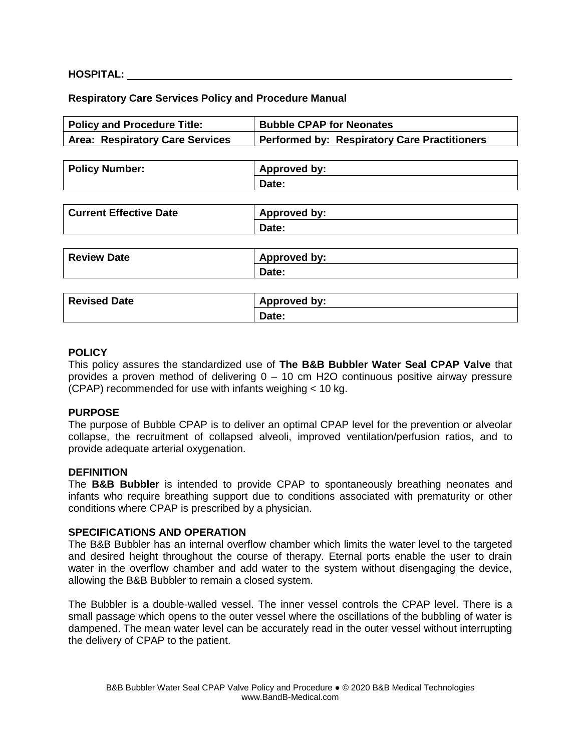### **HOSPITAL:**

#### **Respiratory Care Services Policy and Procedure Manual**

| <b>Bubble CPAP for Neonates</b>                     |
|-----------------------------------------------------|
| <b>Performed by: Respiratory Care Practitioners</b> |
|                                                     |
| <b>Approved by:</b>                                 |
| Date:                                               |
|                                                     |
| <b>Approved by:</b>                                 |
| Date:                                               |
|                                                     |
| <b>Approved by:</b>                                 |
| Date:                                               |
|                                                     |
| <b>Approved by:</b>                                 |
| Date:                                               |
|                                                     |

#### **POLICY**

This policy assures the standardized use of **The B&B Bubbler Water Seal CPAP Valve** that provides a proven method of delivering 0 – 10 cm H2O continuous positive airway pressure (CPAP) recommended for use with infants weighing < 10 kg.

#### **PURPOSE**

The purpose of Bubble CPAP is to deliver an optimal CPAP level for the prevention or alveolar collapse, the recruitment of collapsed alveoli, improved ventilation/perfusion ratios, and to provide adequate arterial oxygenation.

#### **DEFINITION**

The **B&B Bubbler** is intended to provide CPAP to spontaneously breathing neonates and infants who require breathing support due to conditions associated with prematurity or other conditions where CPAP is prescribed by a physician.

#### **SPECIFICATIONS AND OPERATION**

The B&B Bubbler has an internal overflow chamber which limits the water level to the targeted and desired height throughout the course of therapy. Eternal ports enable the user to drain water in the overflow chamber and add water to the system without disengaging the device, allowing the B&B Bubbler to remain a closed system.

The Bubbler is a double-walled vessel. The inner vessel controls the CPAP level. There is a small passage which opens to the outer vessel where the oscillations of the bubbling of water is dampened. The mean water level can be accurately read in the outer vessel without interrupting the delivery of CPAP to the patient.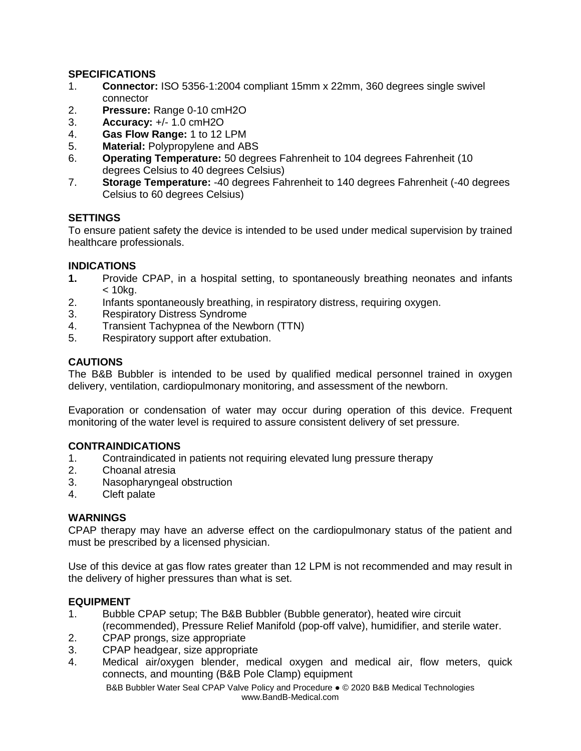## **SPECIFICATIONS**

- 1. **Connector:** ISO 5356-1:2004 compliant 15mm x 22mm, 360 degrees single swivel connector
- 2. **Pressure:** Range 0-10 cmH2O
- 3. **Accuracy:** +/- 1.0 cmH2O
- 4. **Gas Flow Range:** 1 to 12 LPM
- 5. **Material:** Polypropylene and ABS
- 6. **Operating Temperature:** 50 degrees Fahrenheit to 104 degrees Fahrenheit (10 degrees Celsius to 40 degrees Celsius)
- 7. **Storage Temperature:** -40 degrees Fahrenheit to 140 degrees Fahrenheit (-40 degrees Celsius to 60 degrees Celsius)

## **SETTINGS**

To ensure patient safety the device is intended to be used under medical supervision by trained healthcare professionals.

## **INDICATIONS**

- **1.** Provide CPAP, in a hospital setting, to spontaneously breathing neonates and infants < 10kg.
- 2. Infants spontaneously breathing, in respiratory distress, requiring oxygen.
- 3. Respiratory Distress Syndrome
- 4. Transient Tachypnea of the Newborn (TTN)
- 5. Respiratory support after extubation.

### **CAUTIONS**

The B&B Bubbler is intended to be used by qualified medical personnel trained in oxygen delivery, ventilation, cardiopulmonary monitoring, and assessment of the newborn.

Evaporation or condensation of water may occur during operation of this device. Frequent monitoring of the water level is required to assure consistent delivery of set pressure.

## **CONTRAINDICATIONS**

- 1. Contraindicated in patients not requiring elevated lung pressure therapy
- 2. Choanal atresia
- 3. Nasopharyngeal obstruction
- 4. Cleft palate

## **WARNINGS**

CPAP therapy may have an adverse effect on the cardiopulmonary status of the patient and must be prescribed by a licensed physician.

Use of this device at gas flow rates greater than 12 LPM is not recommended and may result in the delivery of higher pressures than what is set.

## **EQUIPMENT**

- 1. Bubble CPAP setup; The B&B Bubbler (Bubble generator), heated wire circuit (recommended), Pressure Relief Manifold (pop-off valve), humidifier, and sterile water.
- 2. CPAP prongs, size appropriate
- 3. CPAP headgear, size appropriate
- 4. Medical air/oxygen blender, medical oxygen and medical air, flow meters, quick connects, and mounting (B&B Pole Clamp) equipment

B&B Bubbler Water Seal CPAP Valve Policy and Procedure ● © 2020 B&B Medical Technologies www.BandB-Medical.com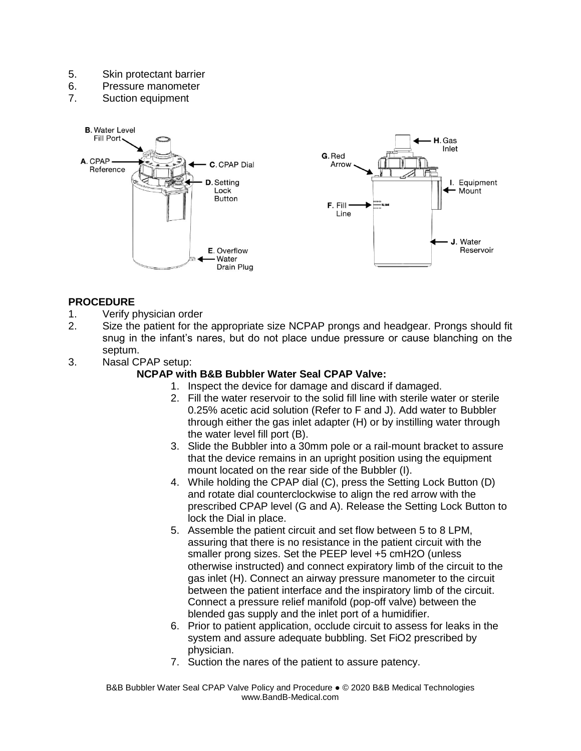- 5. Skin protectant barrier
- 6. Pressure manometer
- 7. Suction equipment



# **PROCEDURE**

- 1. Verify physician order
- 2. Size the patient for the appropriate size NCPAP prongs and headgear. Prongs should fit snug in the infant's nares, but do not place undue pressure or cause blanching on the septum.
- 3. Nasal CPAP setup:

## **NCPAP with B&B Bubbler Water Seal CPAP Valve:**

- 1. Inspect the device for damage and discard if damaged.
- 2. Fill the water reservoir to the solid fill line with sterile water or sterile 0.25% acetic acid solution (Refer to F and J). Add water to Bubbler through either the gas inlet adapter (H) or by instilling water through the water level fill port (B).
- 3. Slide the Bubbler into a 30mm pole or a rail-mount bracket to assure that the device remains in an upright position using the equipment mount located on the rear side of the Bubbler (I).
- 4. While holding the CPAP dial (C), press the Setting Lock Button (D) and rotate dial counterclockwise to align the red arrow with the prescribed CPAP level (G and A). Release the Setting Lock Button to lock the Dial in place.
- 5. Assemble the patient circuit and set flow between 5 to 8 LPM, assuring that there is no resistance in the patient circuit with the smaller prong sizes. Set the PEEP level +5 cmH2O (unless otherwise instructed) and connect expiratory limb of the circuit to the gas inlet (H). Connect an airway pressure manometer to the circuit between the patient interface and the inspiratory limb of the circuit. Connect a pressure relief manifold (pop-off valve) between the blended gas supply and the inlet port of a humidifier.
- 6. Prior to patient application, occlude circuit to assess for leaks in the system and assure adequate bubbling. Set FiO2 prescribed by physician.
- 7. Suction the nares of the patient to assure patency.